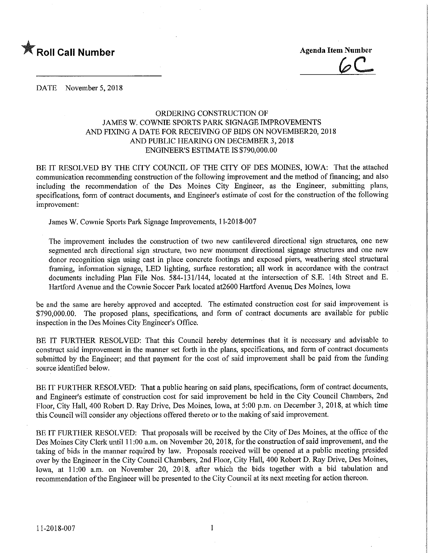

**EXALL ROLL CALL Number Agenda Item Number** Agenda Item Number

DATE November 5, 2018

## ORDERING CONSTRUCTION OF JAMES W. COWNIE SPORTS PARK SIGNAGE IMPROVEMENTS AND FIXING A DATE FOR RECEIVING OF BIDS ON NOVEMBER20, 2018 AND PUBLIC HEARING ON DECEMBER 3,2018 ENGINEER'S ESTIMATE IS \$790,000.00

BE IT RESOLVED BY THE CITY COUNCIL OF THE CITY OF DES MOINES, IOWA: That the attached communication recommending construction of the following improvement and the method of financing; and also including the recommendation of the Des Moines City Engineer, as the Engineer, submitting plans, specifications, form of contract documents, and Engineer's estimate of cost for the construction of the following improvement:

James W. Cownie Sports Park Signage Improvements, 11-2018-007

The improvement includes the construction of two new cantilevered directional sign structures, one new segmented arch directional sign structure, two new monument directional signage structures and one new donor recognition sign using cast in place concrete footmgs and exposed piers, weathering steel structural framing, information signage, LED lighting, surface restoration; all work in accordance with the contract documents including Plan File Nos. 584-131/144, located at the intersection of S.E. 14th Street and E. Hartford Avenue and the Cownie Soccer Park located at2600 Hartford Avenue Des Moines, Iowa

be and the same are hereby approved and accepted. The estimated construction cost for said improvement is \$790,000.00. The proposed plans, specifications, and form of contract documents are available for public inspection in the Des Moines City Engineer's Office.

BE IT FURTHER RESOLVED: That this Council hereby determines that it is necessary and advisable to construct said improvement in the manner set forth in the plans, specifications, and form of contract documents submitted by the Engineer; and that payment for the cost of said improvement shall be paid from the funding source identified below.

BE IT FURTHER RESOLVED: That a public hearing on said plans, specifications, form of contract documents, and Engineer's estimate of construction cost for said improvement be held in the City Council Chambers, 2nd Floor, City Hall, 400 Robert D. Ray Drive, Des Moines, Iowa, at 5:00 p.m. on December 3, 2018, at which time this Council will consider any objections offered thereto or to the making of said improvement.

BE IT FURTHER RESOLVED: That proposals will be received by the City of Des Moines, at the office of the Des Moines City Clerk until 11:00 a.m. on November 20, 2018, for the construction of said improvement, and the taking of bids in the manner required by law. Proposals received will be opened at a public meeting presided over by the Engineer in the City Council Chambers, 2nd Floor, City Hall, 400 Robert D. Ray Drive, Des Moines, Iowa, at 11:00 a.m. on November 20, 2018, after which the bids together with a bid tabulation and recommendation of the Engineer will be presented to the City Council at its next meeting for action thereon.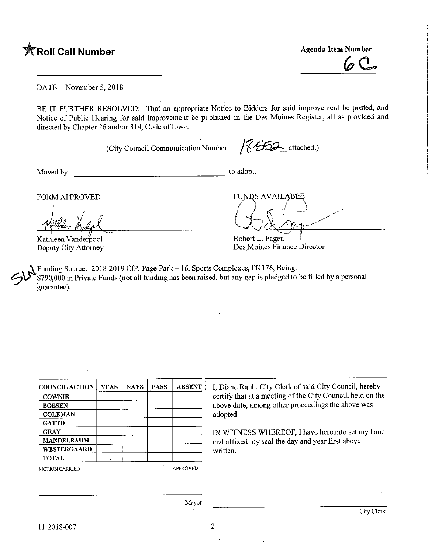

DATE November 5, 2018

BE IT FURTHER RESOLVED: That an appropriate Notice to Bidders for said improvement be posted, and Notice of Public Hearing for said improvement be published in the Des Moines Register, all as provided and directed by Chapter 26 and/or 314, Code of Iowa.

(City Council Communication Number  $\sqrt{\mathcal{S}^2}$  attached.)

Moved by to adopt.

FORM APPROVED:

Kathleen Vanderpool Deputy City Attorney

**FUNDS AVAILABLE**  $\overline{\phantom{a}}$ 

Robert L. Fagen Des Moines Finance Director

Funding Source: 2018-2019 CIP, Page Park - 16, Sports Complexes, PK176, Being: \$790,000 in Private Funds (not all funding has been raised, but any gap is pledged to be filled by a personal guarantee).

| <b>COWNIE</b><br>above date, among other proceedings the above was<br><b>BOESEN</b><br>adopted.<br><b>COLEMAN</b><br><b>GATTO</b><br><b>GRAY</b><br><b>MANDELBAUM</b><br>and affixed my seal the day and year first above<br><b>WESTERGAARD</b><br>written.<br><b>TOTAL</b><br><b>APPROVED</b> | <b>COUNCIL ACTION</b> | <b>YEAS</b> | <b>NAYS</b> | <b>PASS</b> | <b>ABSENT</b> | I, Diane Rauh, City Clerk of said City Council, hereby     |  |  |  |
|------------------------------------------------------------------------------------------------------------------------------------------------------------------------------------------------------------------------------------------------------------------------------------------------|-----------------------|-------------|-------------|-------------|---------------|------------------------------------------------------------|--|--|--|
|                                                                                                                                                                                                                                                                                                |                       |             |             |             |               | certify that at a meeting of the City Council, held on the |  |  |  |
|                                                                                                                                                                                                                                                                                                |                       |             |             |             |               |                                                            |  |  |  |
|                                                                                                                                                                                                                                                                                                |                       |             |             |             |               |                                                            |  |  |  |
| IN WITNESS WHEREOF, I have hereunto set my hand                                                                                                                                                                                                                                                |                       |             |             |             |               |                                                            |  |  |  |
|                                                                                                                                                                                                                                                                                                |                       |             |             |             |               |                                                            |  |  |  |
|                                                                                                                                                                                                                                                                                                |                       |             |             |             |               |                                                            |  |  |  |
|                                                                                                                                                                                                                                                                                                |                       |             |             |             |               |                                                            |  |  |  |
|                                                                                                                                                                                                                                                                                                |                       |             |             |             |               |                                                            |  |  |  |
|                                                                                                                                                                                                                                                                                                | <b>MOTION CARRIED</b> |             |             |             |               |                                                            |  |  |  |
|                                                                                                                                                                                                                                                                                                |                       |             |             |             |               |                                                            |  |  |  |
|                                                                                                                                                                                                                                                                                                |                       |             |             |             |               |                                                            |  |  |  |

Mayor |